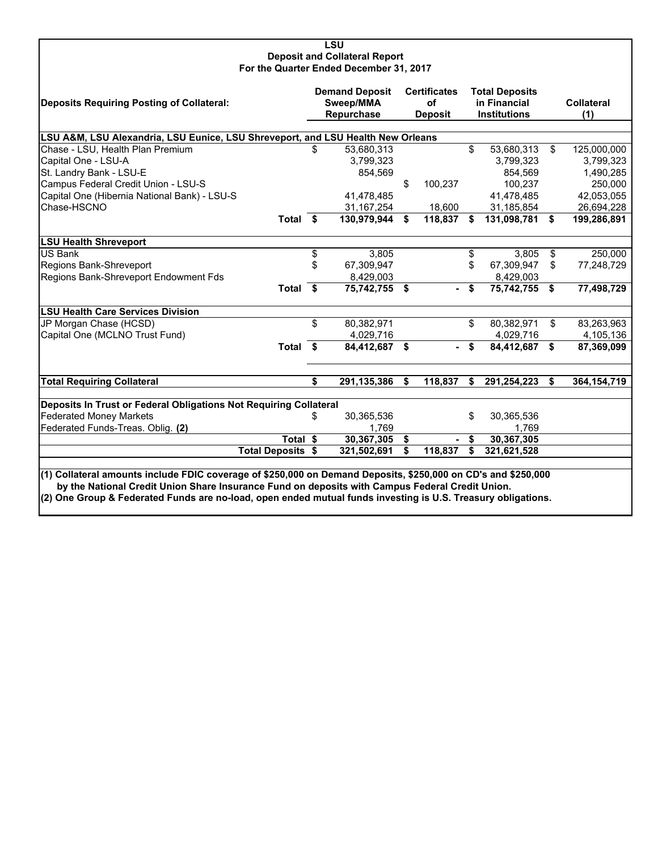#### **LSU Deposit and Collateral Report For the Quarter Ended December 31, 2017**

| Deposits Requiring Posting of Collateral:                                                                                                                                                                                                                                                                                        | <b>Demand Deposit</b><br>Sweep/MMA<br>Repurchase | <b>Certificates</b><br>of<br><b>Deposit</b> |    | <b>Total Deposits</b><br>in Financial<br><b>Institutions</b> |     | <b>Collateral</b><br>(1) |
|----------------------------------------------------------------------------------------------------------------------------------------------------------------------------------------------------------------------------------------------------------------------------------------------------------------------------------|--------------------------------------------------|---------------------------------------------|----|--------------------------------------------------------------|-----|--------------------------|
|                                                                                                                                                                                                                                                                                                                                  |                                                  |                                             |    |                                                              |     |                          |
| LSU A&M, LSU Alexandria, LSU Eunice, LSU Shreveport, and LSU Health New Orleans                                                                                                                                                                                                                                                  |                                                  |                                             |    |                                                              |     |                          |
| Chase - LSU, Health Plan Premium                                                                                                                                                                                                                                                                                                 | \$<br>53,680,313                                 |                                             | \$ | 53,680,313                                                   | \$  | 125,000,000              |
| Capital One - LSU-A                                                                                                                                                                                                                                                                                                              | 3,799,323                                        |                                             |    | 3,799,323                                                    |     | 3,799,323                |
| St. Landry Bank - LSU-E                                                                                                                                                                                                                                                                                                          | 854,569                                          |                                             |    | 854.569                                                      |     | 1,490,285                |
| Campus Federal Credit Union - LSU-S                                                                                                                                                                                                                                                                                              |                                                  | \$<br>100,237                               |    | 100.237                                                      |     | 250,000                  |
| Capital One (Hibernia National Bank) - LSU-S                                                                                                                                                                                                                                                                                     | 41.478.485                                       |                                             |    | 41,478,485                                                   |     | 42,053,055               |
| Chase-HSCNO                                                                                                                                                                                                                                                                                                                      | 31, 167, 254                                     | 18,600                                      |    | 31,185,854                                                   |     | 26,694,228               |
| Total \$                                                                                                                                                                                                                                                                                                                         | 130,979,944                                      | \$<br>118,837                               | £. | 131,098,781                                                  | Ŝ.  | 199,286,891              |
| <b>LSU Health Shreveport</b>                                                                                                                                                                                                                                                                                                     |                                                  |                                             |    |                                                              |     |                          |
| <b>US Bank</b>                                                                                                                                                                                                                                                                                                                   | \$<br>3,805                                      |                                             | \$ | 3,805                                                        | \$  | 250,000                  |
| Regions Bank-Shreveport                                                                                                                                                                                                                                                                                                          | \$<br>67,309,947                                 |                                             | \$ | 67,309,947                                                   | \$  | 77,248,729               |
| Regions Bank-Shreveport Endowment Fds                                                                                                                                                                                                                                                                                            | 8,429,003                                        |                                             |    | 8,429,003                                                    |     |                          |
| Total \$                                                                                                                                                                                                                                                                                                                         | 75,742,755                                       | \$<br>. .                                   | \$ | 75,742,755 \$                                                |     | 77,498,729               |
| <b>LSU Health Care Services Division</b>                                                                                                                                                                                                                                                                                         |                                                  |                                             |    |                                                              |     |                          |
| JP Morgan Chase (HCSD)                                                                                                                                                                                                                                                                                                           | \$<br>80,382,971                                 |                                             | \$ | 80,382,971                                                   | \$  | 83,263,963               |
| Capital One (MCLNO Trust Fund)                                                                                                                                                                                                                                                                                                   | 4,029,716                                        |                                             |    | 4,029,716                                                    |     | 4,105,136                |
| Total \$                                                                                                                                                                                                                                                                                                                         | 84,412,687 \$                                    |                                             | S. | 84,412,687 \$                                                |     | 87,369,099               |
|                                                                                                                                                                                                                                                                                                                                  |                                                  |                                             |    |                                                              |     |                          |
| <b>Total Requiring Collateral</b>                                                                                                                                                                                                                                                                                                | \$<br>291,135,386                                | \$<br>118,837                               | \$ | 291,254,223                                                  | -\$ | 364, 154, 719            |
| Deposits In Trust or Federal Obligations Not Requiring Collateral                                                                                                                                                                                                                                                                |                                                  |                                             |    |                                                              |     |                          |
| <b>Federated Money Markets</b>                                                                                                                                                                                                                                                                                                   | \$<br>30,365,536                                 |                                             | \$ | 30,365,536                                                   |     |                          |
| Federated Funds-Treas. Oblig. (2)                                                                                                                                                                                                                                                                                                | 1,769                                            |                                             |    | 1,769                                                        |     |                          |
| Total $\overline{\$}$                                                                                                                                                                                                                                                                                                            | 30,367,305                                       | \$                                          | \$ | 30,367,305                                                   |     |                          |
| <b>Total Deposits \$</b>                                                                                                                                                                                                                                                                                                         | 321,502,691                                      | \$<br>118,837                               | \$ | 321,621,528                                                  |     |                          |
|                                                                                                                                                                                                                                                                                                                                  |                                                  |                                             |    |                                                              |     |                          |
| (1) Collateral amounts include FDIC coverage of \$250,000 on Demand Deposits, \$250,000 on CD's and \$250,000<br>by the National Credit Union Share Insurance Fund on deposits with Campus Federal Credit Union.<br>(2) One Group & Federated Funds are no-load, open ended mutual funds investing is U.S. Treasury obligations. |                                                  |                                             |    |                                                              |     |                          |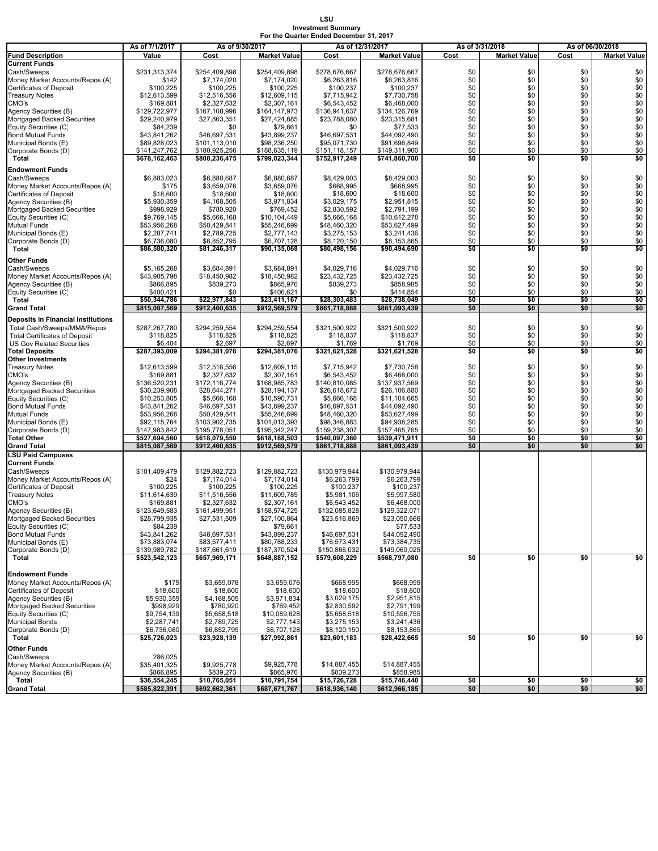#### **LSU Investment Summary For the Quarter Ended December 31, 2017**

|                                                      | As of 7/1/2017                 | As of 9/30/2017                |                                | As of 12/31/2017               |                                |            | As of 3/31/2018     | As of 06/30/2018 |                        |
|------------------------------------------------------|--------------------------------|--------------------------------|--------------------------------|--------------------------------|--------------------------------|------------|---------------------|------------------|------------------------|
| <b>Fund Description</b>                              | Value                          | Cost                           | <b>Market Value</b>            | Cost                           | <b>Market Value</b>            | Cost       | <b>Market Value</b> | Cost             | <b>Market Value</b>    |
| <b>Current Funds</b>                                 |                                |                                |                                |                                |                                |            |                     |                  |                        |
| Cash/Sweeps                                          | \$231,313,374                  | \$254,409,898                  | \$254,409,898                  | \$278,676,667                  | \$278,676,667                  | \$0        | \$0                 | \$0              | \$0                    |
| Money Market Accounts/Repos (A)                      | \$142                          | \$7,174,020                    | \$7,174,020                    | \$6,263,816                    | \$6,263,816                    | \$0        | \$0                 | \$0              | \$0                    |
| <b>Certificates of Deposit</b>                       | \$100,225                      | \$100,225                      | \$100,225                      | \$100,237                      | \$100,237                      | \$0        | \$0                 | \$0              | \$0                    |
| <b>Treasury Notes</b>                                | \$12,613,599                   | \$12,516,556                   | \$12,609,115                   | \$7,715,942                    | \$7,730,758                    | \$0        | \$0                 | \$0              | \$0                    |
| CMO's                                                | \$169,881                      | \$2,327,632                    | \$2,307,161                    | \$6,543,452                    | \$6,468,000                    | \$0        | \$0                 | \$0              | $\$0$                  |
| Agency Securities (B)                                | \$129,722,977                  | \$167,108,996                  | \$164,147,973                  | \$136,941,637                  | \$134,126,769                  | \$0<br>\$0 | \$0<br>\$0          | \$0<br>\$0       | \$0                    |
| Mortgaged Backed Securities<br>Equity Securities (C) | \$29,240,979<br>\$84,239       | \$27,863,351<br>\$0            | \$27,424,685<br>\$79,661       | \$23,788,080<br>\$0            | \$23,315,681<br>\$77,533       | \$0        | \$0                 | \$0              | \$0<br>$\overline{$}0$ |
| <b>Bond Mutual Funds</b>                             | \$43,841,262                   | \$46,697,531                   | \$43,899,237                   | \$46,697,531                   | \$44,092,490                   | \$0        | \$0                 | \$0              | \$0                    |
| Municipal Bonds (E)                                  | \$89,828,023                   | \$101,113,010                  | \$98,236,250                   | \$95,071,730                   | \$91,696,849                   | \$0        | \$0                 | \$0              | \$0                    |
| Corporate Bonds (D)                                  | \$141,247,762                  | \$188,925,256                  | \$188,635,119                  | \$151,118,157                  | \$149,311,900                  | \$0        | \$0                 | \$0              | \$0                    |
| Total                                                | \$678,162,463                  | \$808,236,475                  | \$799,023,344                  | \$752,917,249                  | \$741,860,700                  | \$0        | \$0                 | \$0              | \$0                    |
| <b>Endowment Funds</b>                               |                                |                                |                                |                                |                                |            |                     |                  |                        |
| Cash/Sweeps                                          | \$6,883,023                    | \$6,880,687                    | \$6,880,687                    | \$8,429,003                    | \$8,429,003                    | \$0        | \$0                 | \$0              | \$0                    |
| Money Market Accounts/Repos (A)                      | \$175                          | \$3,659,076                    | \$3,659,076                    | \$668,995                      | \$668.995                      | \$0        | \$0                 | \$0              | \$0                    |
| <b>Certificates of Deposit</b>                       | \$18,600                       | \$18,600                       | \$18,600                       | \$18,600                       | \$18,600                       | \$0        | \$0                 | \$0              | \$0                    |
| Agency Securities (B)                                | \$5,930,359                    | \$4,168,505                    | \$3,971,834                    | \$3,029,175                    | \$2,951,815                    | \$0        | \$0                 | \$0              | $\$0$                  |
| Mortgaged Backed Securities                          | \$998,929                      | \$780,920                      | \$769,452                      | \$2,830,592                    | \$2,791,199                    | \$0        | \$0                 | \$0              | \$0                    |
| Equity Securities (C)                                | \$9,769,145                    | \$5,666,168                    | \$10,104,449                   | \$5,666,168                    | \$10,612,278                   | \$0        | \$0                 | \$0              | \$0                    |
| <b>Mutual Funds</b>                                  | \$53,956,268                   | \$50,429,841                   | \$55,246,699                   | \$48,460,320                   | \$53,627,499                   | \$0        | \$0                 | \$0              | \$0                    |
| Municipal Bonds (E)                                  | \$2,287,741                    | \$2,789,725                    | \$2,777,143                    | \$3,275,153                    | \$3,241,436                    | \$0        | \$0                 | \$0              | \$0                    |
| Corporate Bonds (D)                                  | \$6,736,080                    | \$6,852,795                    | \$6,707,128                    | \$8,120,150                    | \$8,153,865                    | \$0        | \$0                 | \$0              | \$0                    |
| Total                                                | \$86,580,320                   | \$81,246,317                   | \$90,135,068                   | \$80,498,156                   | \$90,494,690                   | \$0        | \$0                 | \$0              | \$0                    |
| Other Funds                                          |                                |                                |                                |                                |                                |            |                     |                  |                        |
| Cash/Sweeps                                          | \$5,165,268                    | \$3,684,891                    | \$3,684,891                    | \$4,029,716                    | \$4,029,716                    | \$0        | \$0                 | \$0              | \$0                    |
| Money Market Accounts/Repos (A)                      | \$43,905,798                   | \$18,450,982                   | \$18,450,982                   | \$23,432,725                   | \$23,432,725                   | \$0        | \$0                 | \$0              | \$0                    |
| Agency Securities (B)                                | \$866,895                      | \$839,273                      | \$865,976                      | \$839,273                      | \$858,985                      | \$0        | \$0                 | \$0              | \$0                    |
| Equity Securities (C)                                | \$400,421                      | \$0                            | \$406.621                      | \$0                            | \$414,854                      | \$0        | \$0                 | \$0              | \$0                    |
| Total                                                | \$50,344,786                   | \$22,977,843                   | \$23,411,167                   | \$28,303,483                   | \$28,738,049                   | \$0        | \$0                 | \$0              | \$0                    |
| <b>Grand Total</b>                                   | \$815,087,569                  | \$912,460,635                  | \$912,569,579                  | \$861,718,888                  | \$861,093,439                  | \$0        | \$0                 | \$0              | \$0                    |
| Deposits in Financial Institutions                   |                                |                                |                                |                                |                                |            |                     |                  |                        |
| Total Cash/Sweeps/MMA/Repos                          | \$287,267,780                  | \$294.259.554                  | \$294,259,554                  | \$321,500,922                  | \$321,500,922                  | \$0        | \$0                 | \$0              | \$0                    |
| <b>Total Certificates of Deposit</b>                 | \$118,825                      | \$118,825                      | \$118,825                      | \$118,837                      | \$118,837                      | \$0        | \$0                 | \$0              | \$0                    |
| <b>US Gov Related Securities</b>                     | \$6,404                        | \$2,697                        | \$2,697                        | \$1,769                        | \$1,769                        | \$0        | \$0                 | \$0              | \$0                    |
| <b>Total Deposits</b>                                | \$287,393,009                  | \$294,381,076                  | \$294,381,076                  | \$321,621,528                  | \$321,621,528                  | \$0        | \$0                 | \$0              | \$0                    |
| <b>Other Investments</b>                             |                                |                                |                                |                                |                                |            |                     |                  |                        |
| <b>Treasury Notes</b>                                | \$12,613,599                   | \$12,516,556                   | \$12,609,115                   | \$7,715,942                    | \$7,730,758                    | \$0        | \$0                 | \$0              | \$0                    |
| CMO's                                                | \$169,881                      | \$2,327,632                    | \$2,307,161                    | \$6,543,452                    | \$6,468,000                    | \$0        | \$0                 | \$0              | \$0                    |
| Agency Securities (B)                                | \$136,520,231                  | \$172,116,774                  | \$168,985,783                  | \$140,810,085                  | \$137,937,569                  | \$0        | \$0                 | \$0              | \$0                    |
| Mortgaged Backed Securities                          | \$30,239,908                   | \$28,644,271                   | \$28,194,137                   | \$26,618,672                   | \$26,106,880                   | \$0        | \$0                 | \$0              | \$0                    |
| Equity Securities (C)                                | \$10,253,805                   | \$5,666,168                    | \$10,590,731                   | \$5,666,168                    | \$11,104,665                   | \$0        | \$0                 | \$0              | $\$0$                  |
| <b>Bond Mutual Funds</b>                             | \$43,841,262                   | \$46,697,531                   | \$43,899,237                   | \$46,697,531                   | \$44,092,490                   | \$0        | \$0                 | \$0              | $\$0$                  |
| Mutual Funds                                         | \$53,956,268                   | \$50,429,841                   | \$55,246,699                   | \$48,460,320                   | \$53,627,499                   | \$0        | \$0                 | \$0              | \$0                    |
| Municipal Bonds (E)                                  | \$92,115,764                   | \$103,902,735                  | \$101,013,393                  | \$98,346,883                   | \$94,938,285                   | \$0        | \$0                 | \$0              | \$0                    |
| Corporate Bonds (D)                                  | \$147,983,842                  | \$195,778,051                  | \$195,342,247                  | \$159,238,307                  | \$157,465,765                  | \$0<br>\$0 | \$0<br>\$0          | \$0              | \$0<br>\$0             |
| <b>Total Other</b><br><b>Grand Total</b>             | \$527,694,560<br>\$815,087,569 | \$618,079,559<br>\$912,460,635 | \$618,188,503<br>\$912,569,579 | \$540,097,360<br>\$861,718,888 | \$539,471,911<br>\$861,093,439 | \$0        | \$0                 | \$0<br>\$0       | \$0                    |
|                                                      |                                |                                |                                |                                |                                |            |                     |                  |                        |
| <b>LSU Paid Campuses</b><br><b>Current Funds</b>     |                                |                                |                                |                                |                                |            |                     |                  |                        |
| Cash/Sweeps                                          | \$101,409,479                  | \$129,882,723                  | \$129,882,723                  | \$130,979,944                  | \$130,979,944                  |            |                     |                  |                        |
| Money Market Accounts/Repos (A)                      | \$24                           | \$7,174,014                    | \$7,174,014                    | \$6,263,799                    | \$6,263,799                    |            |                     |                  |                        |
| Certificates of Deposit                              | \$100,225                      | \$100,225                      | \$100,225                      | \$100,237                      | \$100,237                      |            |                     |                  |                        |
| <b>Treasury Notes</b>                                | \$11,614,639                   | \$11,516,556                   | \$11,609,785                   | \$5,981,106                    | \$5,997,580                    |            |                     |                  |                        |
| CMO's                                                | \$169,881                      | \$2,327,632                    | \$2,307,161                    | \$6,543,452                    | \$6,468,000                    |            |                     |                  |                        |
| Agency Securities (B)                                | \$123,649,583                  | \$161,499,951                  | \$158,574,725                  | \$132,085,828                  | \$129,322,071                  |            |                     |                  |                        |
| Mortgaged Backed Securities                          | \$28,799,935                   | \$27,531,509                   | \$27,100,864                   | \$23,516,869                   | \$23,050,666                   |            |                     |                  |                        |
| Equity Securities (C)                                | \$84,239                       |                                | \$79,661                       |                                | \$77,533                       |            |                     |                  |                        |
| <b>Bond Mutual Funds</b>                             | \$43,841,262                   | \$46,697,531                   | \$43,899,237                   | \$46,697,531                   | \$44,092,490                   |            |                     |                  |                        |
| Municipal Bonds (E)                                  | \$73,883,074                   | \$83,577,411                   | \$80,788,233                   | \$76,573,431                   | \$73,384,735                   |            |                     |                  |                        |
| Corporate Bonds (D)                                  | \$139,989,782                  | \$187,661,619                  | \$187,370,524                  | \$150,866,032                  | \$149,060,025                  |            |                     |                  |                        |
| Total                                                | \$523,542,123                  | \$657,969,171                  | \$648,887,152                  | \$579,608,229                  | \$568,797,080                  | \$0        | \$0                 | \$0              | \$0                    |
|                                                      |                                |                                |                                |                                |                                |            |                     |                  |                        |
| <b>Endowment Funds</b>                               |                                |                                |                                |                                |                                |            |                     |                  |                        |
| Money Market Accounts/Repos (A)                      | \$175                          | \$3,659,076                    | \$3,659,076                    | \$668,995                      | \$668,995                      |            |                     |                  |                        |
| Certificates of Deposit                              | \$18,600                       | \$18,600                       | \$18,600                       | \$18,600                       | \$18,600                       |            |                     |                  |                        |
| Agency Securities (B)<br>Mortgaged Backed Securities | \$5,930,359<br>\$998,929       | \$4,168,505                    | \$3,971,834<br>\$769,452       | \$3,029,175<br>\$2,830,592     | \$2,951,815<br>\$2,791,199     |            |                     |                  |                        |
| Equity Securities (C)                                | \$9,754,139                    | \$780,920<br>\$5,658,518       | \$10,089,628                   | \$5,658,518                    | \$10,596,755                   |            |                     |                  |                        |
| <b>Municipal Bonds</b>                               | \$2,287,741                    | \$2,789,725                    | \$2,777,143                    | \$3,275,153                    | \$3,241,436                    |            |                     |                  |                        |
| Corporate Bonds (D)                                  | \$6,736,080                    | \$6,852,795                    | \$6,707,128                    | \$8,120,150                    | \$8,153,865                    |            |                     |                  |                        |
| Total                                                | \$25,726,023                   | \$23,928,139                   | \$27,992,861                   | \$23,601,183                   | \$28,422,665                   | \$0        | \$0                 | \$0              | \$0                    |
|                                                      |                                |                                |                                |                                |                                |            |                     |                  |                        |
| <b>Other Funds</b>                                   |                                |                                |                                |                                |                                |            |                     |                  |                        |
| Cash/Sweeps<br>Money Market Accounts/Repos (A)       | 286,025<br>\$35,401,325        | \$9,925,778                    | \$9,925,778                    | \$14,887,455                   | \$14,887,455                   |            |                     |                  |                        |
| Agency Securities (B)                                | \$866,895                      | \$839,273                      | \$865,976                      | \$839,273                      | \$858,985                      |            |                     |                  |                        |
| Total                                                | \$36,554,245                   | \$10,765,051                   | \$10,791,754                   | \$15,726,728                   | \$15,746,440                   | \$0        | \$0                 | \$0              | \$0                    |
| <b>Grand Total</b>                                   | \$585,822,391                  | \$692,662,361                  | \$687,671,767                  | \$618,936,140                  | \$612,966,185                  | \$0        | \$0                 | \$0              | \$0                    |
|                                                      |                                |                                |                                |                                |                                |            |                     |                  |                        |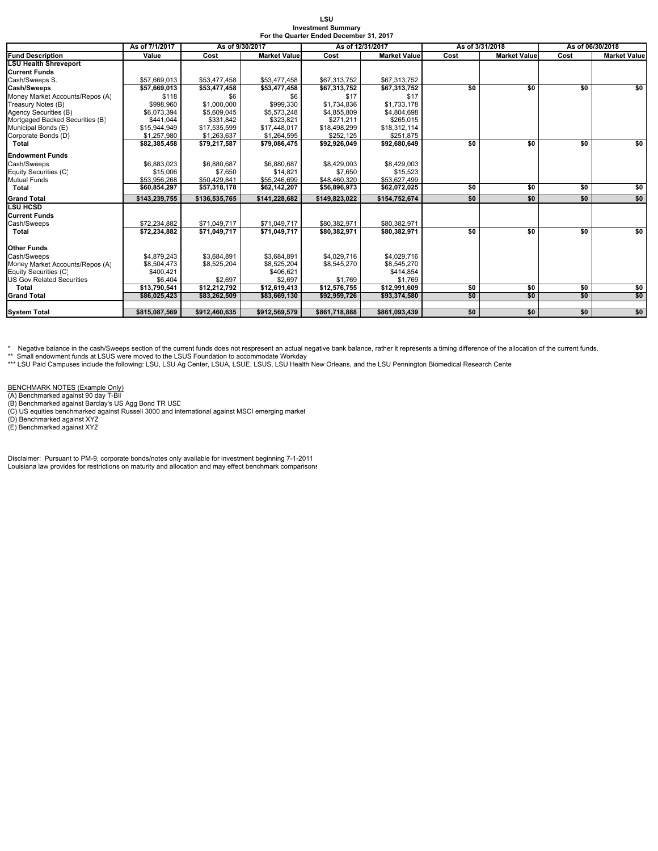| LSU                                     |
|-----------------------------------------|
| <b>Investment Summary</b>               |
| For the Quarter Ended December 31, 2017 |

|                                  | As of 7/1/2017 | As of 9/30/2017 |                     | As of 12/31/2017 |                     |      | As of 3/31/2018     | As of 06/30/2018         |                     |  |
|----------------------------------|----------------|-----------------|---------------------|------------------|---------------------|------|---------------------|--------------------------|---------------------|--|
| <b>Fund Description</b>          | Value          | Cost            | <b>Market Value</b> | Cost             | <b>Market Value</b> | Cost | <b>Market Value</b> | $\overline{\text{Cost}}$ | <b>Market Value</b> |  |
| <b>LSU Health Shreveport</b>     |                |                 |                     |                  |                     |      |                     |                          |                     |  |
| <b>Current Funds</b>             |                |                 |                     |                  |                     |      |                     |                          |                     |  |
| Cash/Sweeps S.                   | \$57,669,013   | \$53,477,458    | \$53,477,458        | \$67,313,752     | \$67,313,752        |      |                     |                          |                     |  |
| Cash/Sweeps                      | \$57.669.013   | \$53.477.458    | \$53,477,458        | \$67,313,752     | \$67,313,752        | \$0  | \$0                 | \$0                      | \$0                 |  |
| Money Market Accounts/Repos (A)  | \$118          | \$6             | \$6                 | \$17             | \$17                |      |                     |                          |                     |  |
| Treasury Notes (B)               | \$998.960      | \$1,000,000     | \$999.330           | \$1,734,836      | \$1.733.178         |      |                     |                          |                     |  |
| Agency Securities (B)            | \$6.073.394    | \$5,609,045     | \$5,573,248         | \$4,855,809      | \$4,804,698         |      |                     |                          |                     |  |
| Mortgaged Backed Securities (B)  | \$441.044      | \$331,842       | \$323.821           | \$271.211        | \$265,015           |      |                     |                          |                     |  |
| Municipal Bonds (E)              | \$15.944.949   | \$17,535,599    | \$17,448.017        | \$18,498,299     | \$18.312.114        |      |                     |                          |                     |  |
| Corporate Bonds (D)              | \$1,257,980    | \$1,263,637     | \$1,264,595         | \$252,125        | \$251,875           |      |                     |                          |                     |  |
| Total                            | \$82,385,458   | \$79,217,587    | \$79,086,475        | \$92,926,049     | \$92,680,649        | \$0  | \$0                 | \$0                      | \$0                 |  |
| <b>Endowment Funds</b>           |                |                 |                     |                  |                     |      |                     |                          |                     |  |
| Cash/Sweeps                      | \$6,883,023    | \$6,880,687     | \$6,880,687         | \$8,429,003      | \$8,429,003         |      |                     |                          |                     |  |
| Equity Securities (C)            | \$15,006       | \$7,650         | \$14.821            | \$7,650          | \$15,523            |      |                     |                          |                     |  |
| <b>Mutual Funds</b>              | \$53,956,268   | \$50,429,841    | \$55,246,699        | \$48,460,320     | \$53,627,499        |      |                     |                          |                     |  |
| Total                            | \$60,854,297   | \$57,318,178    | \$62,142,207        | \$56,896,973     | \$62,072,025        | \$0  | \$0                 | \$0                      | \$0                 |  |
| <b>Grand Total</b>               | \$143.239.755  | \$136.535.765   | \$141.228.682       | \$149.823.022    | \$154.752.674       | \$0  | \$0                 | \$0                      | \$0                 |  |
| <b>LSU HCSD</b>                  |                |                 |                     |                  |                     |      |                     |                          |                     |  |
| <b>Current Funds</b>             |                |                 |                     |                  |                     |      |                     |                          |                     |  |
| Cash/Sweeps                      | \$72,234,882   | \$71,049,717    | \$71.049.717        | \$80.382.971     | \$80,382,971        |      |                     |                          |                     |  |
| Total                            | \$72,234,882   | \$71,049,717    | \$71,049,717        | \$80,382,971     | \$80,382,971        | \$0  | \$0                 | \$0                      | \$0                 |  |
| <b>Other Funds</b>               |                |                 |                     |                  |                     |      |                     |                          |                     |  |
| Cash/Sweeps                      | \$4,879,243    | \$3,684,891     | \$3,684,891         | \$4,029,716      | \$4,029,716         |      |                     |                          |                     |  |
| Money Market Accounts/Repos (A)  | \$8,504,473    | \$8,525,204     | \$8,525,204         | \$8,545,270      | \$8,545,270         |      |                     |                          |                     |  |
| Equity Securities (C)            | \$400,421      |                 | \$406.621           |                  | \$414.854           |      |                     |                          |                     |  |
| <b>US Gov Related Securities</b> | \$6.404        | \$2.697         | \$2.697             | \$1.769          | \$1,769             |      |                     |                          |                     |  |
| Total                            | \$13,790,541   | \$12,212,792    | \$12,619,413        | \$12,576,755     | \$12,991,609        | \$0  | \$0                 | \$0                      | \$0                 |  |
| <b>Grand Total</b>               | \$86,025,423   | \$83,262,509    | \$83,669,130        | \$92,959,726     | \$93,374,580        | \$0  | \$0                 | \$0                      | \$0                 |  |
|                                  |                |                 |                     |                  |                     |      |                     |                          |                     |  |
| <b>System Total</b>              | \$815,087.569  | \$912.460.635   | \$912.569.579       | \$861.718.888    | \$861.093.439       | \$0  | \$0                 | \$0                      | \$0                 |  |

\* Negative balance in the cash/Sweeps section of the current funds does not respresent an actual negative bank balance, rather it represents a timing difference of the allocation of the current funds.

\*\* Small endowment funds at LSUS were moved to the LSUS Foundation to accommodate Workday<br>\*\*\* LSU Paid Campuses include the following: LSU, LSU Ag Center, LSUA, LSUE, LSUS, LSU Health New Orleans, and the LSU Pennington Bi

BENCHMARK NOTES (Example Only)<br>(A) Benchmarked against 90 day T-Bil<br>(B) Benchmarked against Barclay's US Agg Bond TR USD<br>(C) US equities benchmarked against Russell 3000 and international against MSCI emerging market<br>(D) B

Disclaimer: Pursuant to PM-9, corporate bonds/notes only available for investment beginning 7-1-2011 Louisiana law provides for restrictions on maturity and allocation and may effect benchmark comparisons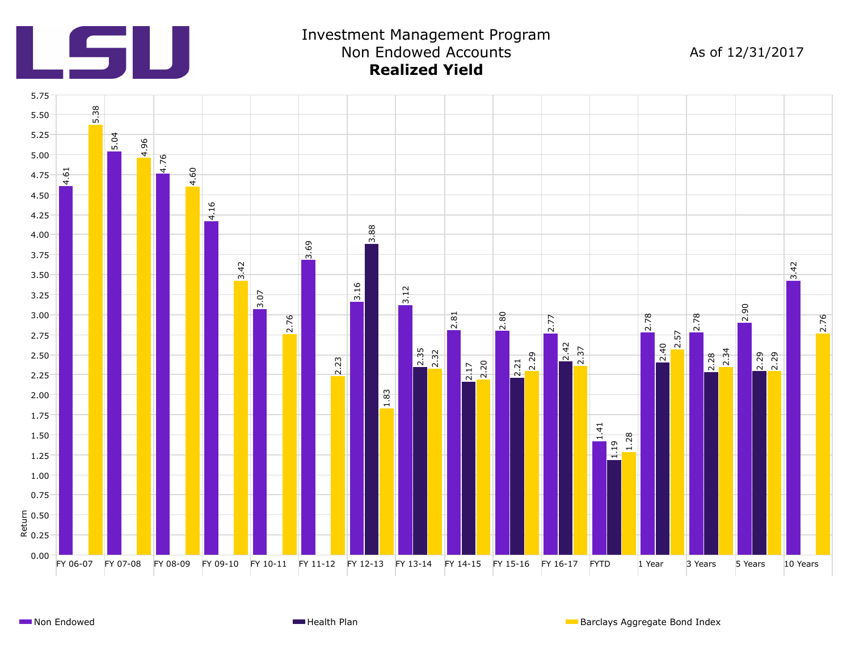

# Investment Management Program Non Endowed Accounts **Realized Yield**

As of 12/31/2017

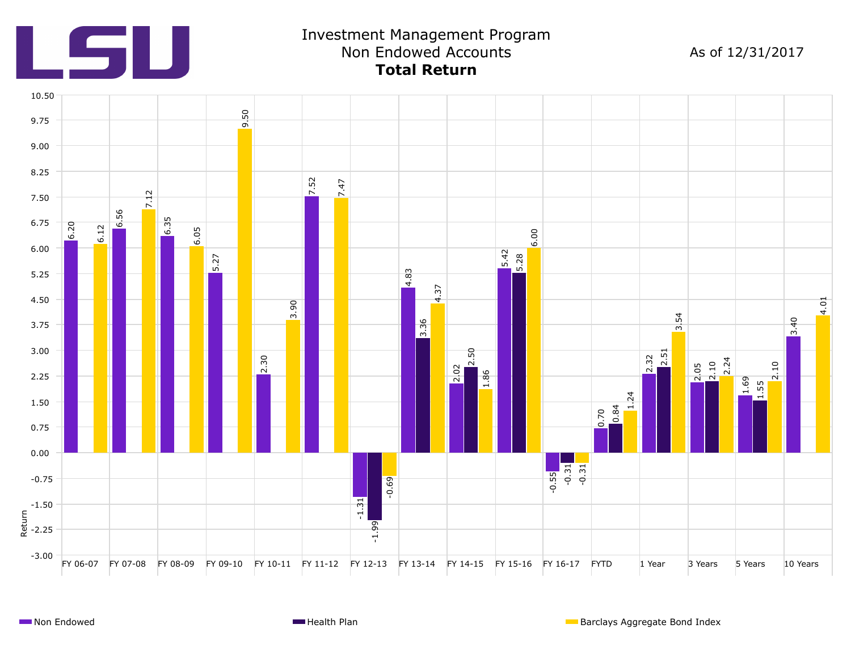

# Investment Management Program Non Endowed Accounts **Total Return**

As of 12/31/2017

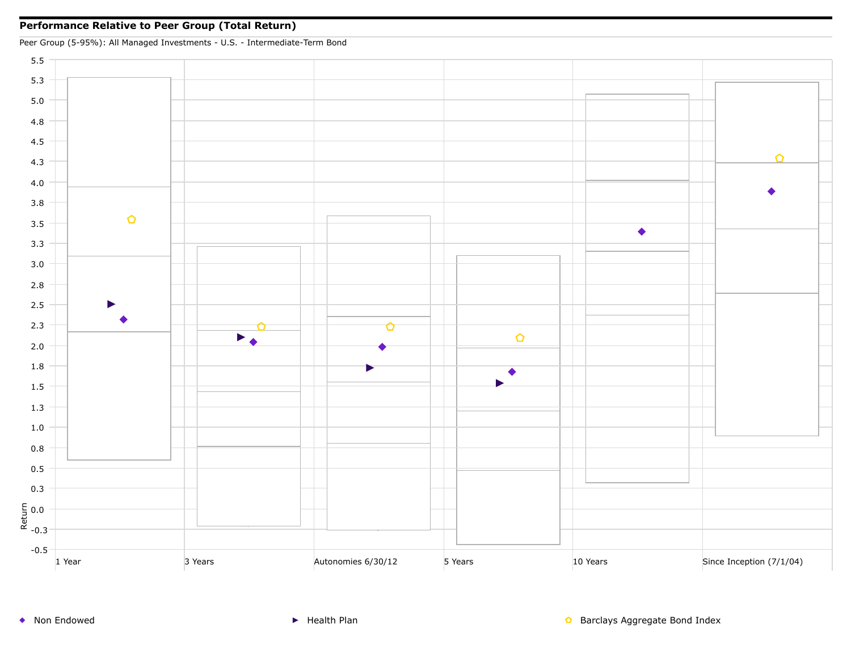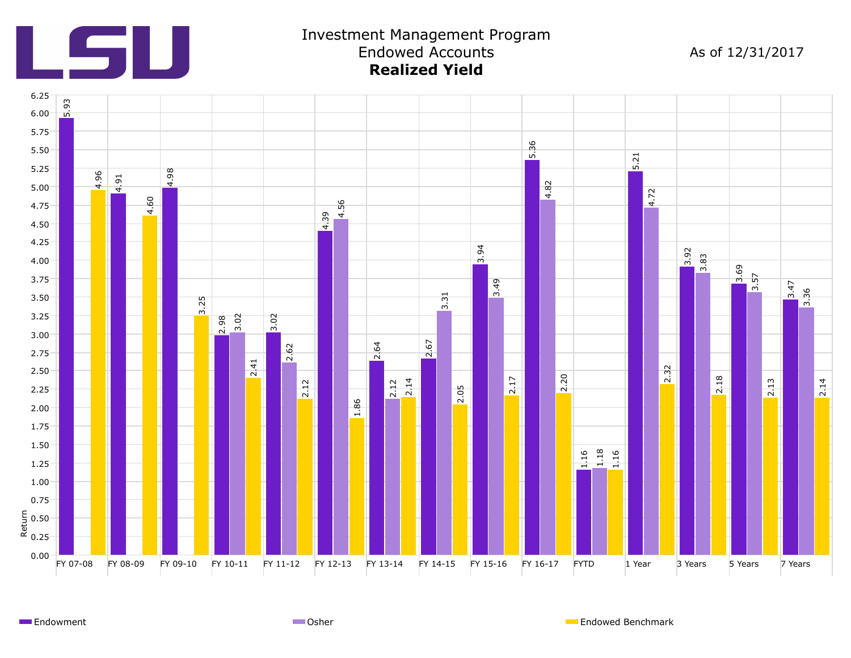

#### Investment Management Program Endowed Accounts **Realized Yield**

As of 12/31/2017



Endowment **Endowed Benchmark** Communication Communication Communication Communication Communication Communication Communication Communication Communication Communication Communication Communication Communication Communicat